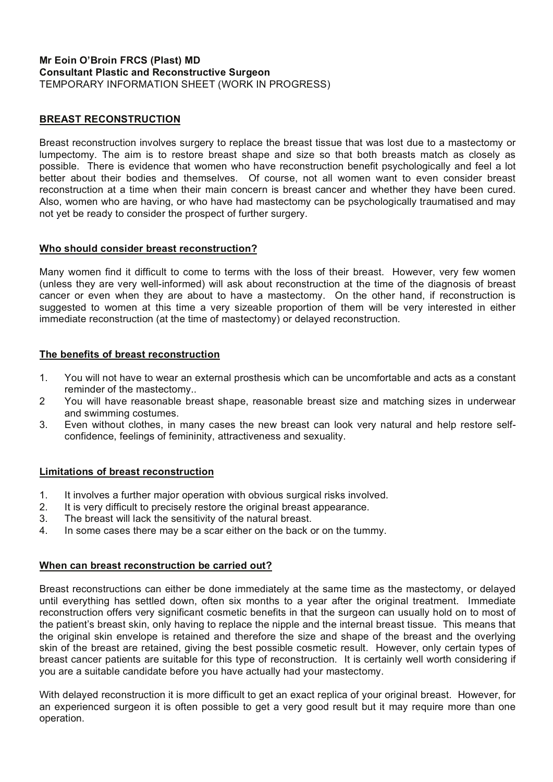#### **Mr Eoin O'Broin FRCS (Plast) MD Consultant Plastic and Reconstructive Surgeon**  TEMPORARY INFORMATION SHEET (WORK IN PROGRESS)

#### **BREAST RECONSTRUCTION**

Breast reconstruction involves surgery to replace the breast tissue that was lost due to a mastectomy or lumpectomy. The aim is to restore breast shape and size so that both breasts match as closely as possible. There is evidence that women who have reconstruction benefit psychologically and feel a lot better about their bodies and themselves. Of course, not all women want to even consider breast reconstruction at a time when their main concern is breast cancer and whether they have been cured. Also, women who are having, or who have had mastectomy can be psychologically traumatised and may not yet be ready to consider the prospect of further surgery.

#### **Who should consider breast reconstruction?**

Many women find it difficult to come to terms with the loss of their breast. However, very few women (unless they are very well-informed) will ask about reconstruction at the time of the diagnosis of breast cancer or even when they are about to have a mastectomy. On the other hand, if reconstruction is suggested to women at this time a very sizeable proportion of them will be very interested in either immediate reconstruction (at the time of mastectomy) or delayed reconstruction.

#### **The benefits of breast reconstruction**

- 1. You will not have to wear an external prosthesis which can be uncomfortable and acts as a constant reminder of the mastectomy..
- 2 You will have reasonable breast shape, reasonable breast size and matching sizes in underwear and swimming costumes.
- 3. Even without clothes, in many cases the new breast can look very natural and help restore selfconfidence, feelings of femininity, attractiveness and sexuality.

#### **Limitations of breast reconstruction**

- 1. It involves a further major operation with obvious surgical risks involved.
- 2. It is very difficult to precisely restore the original breast appearance.
- 3. The breast will lack the sensitivity of the natural breast.
- 4. In some cases there may be a scar either on the back or on the tummy.

#### **When can breast reconstruction be carried out?**

Breast reconstructions can either be done immediately at the same time as the mastectomy, or delayed until everything has settled down, often six months to a year after the original treatment. Immediate reconstruction offers very significant cosmetic benefits in that the surgeon can usually hold on to most of the patient's breast skin, only having to replace the nipple and the internal breast tissue. This means that the original skin envelope is retained and therefore the size and shape of the breast and the overlying skin of the breast are retained, giving the best possible cosmetic result. However, only certain types of breast cancer patients are suitable for this type of reconstruction. It is certainly well worth considering if you are a suitable candidate before you have actually had your mastectomy.

With delayed reconstruction it is more difficult to get an exact replica of your original breast. However, for an experienced surgeon it is often possible to get a very good result but it may require more than one operation.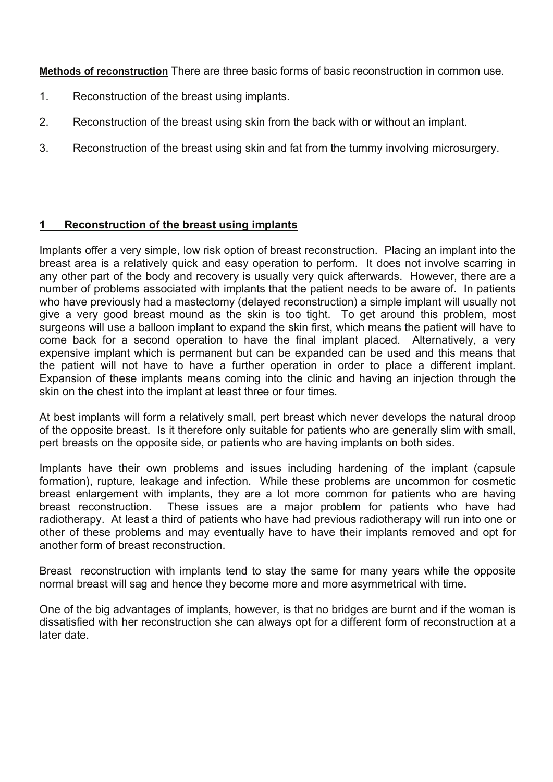**Methods of reconstruction** There are three basic forms of basic reconstruction in common use.

- 1. Reconstruction of the breast using implants.
- 2. Reconstruction of the breast using skin from the back with or without an implant.
- 3. Reconstruction of the breast using skin and fat from the tummy involving microsurgery.

# **1 Reconstruction of the breast using implants**

Implants offer a very simple, low risk option of breast reconstruction. Placing an implant into the breast area is a relatively quick and easy operation to perform. It does not involve scarring in any other part of the body and recovery is usually very quick afterwards. However, there are a number of problems associated with implants that the patient needs to be aware of. In patients who have previously had a mastectomy (delayed reconstruction) a simple implant will usually not give a very good breast mound as the skin is too tight. To get around this problem, most surgeons will use a balloon implant to expand the skin first, which means the patient will have to come back for a second operation to have the final implant placed. Alternatively, a very expensive implant which is permanent but can be expanded can be used and this means that the patient will not have to have a further operation in order to place a different implant. Expansion of these implants means coming into the clinic and having an injection through the skin on the chest into the implant at least three or four times.

At best implants will form a relatively small, pert breast which never develops the natural droop of the opposite breast. Is it therefore only suitable for patients who are generally slim with small, pert breasts on the opposite side, or patients who are having implants on both sides.

Implants have their own problems and issues including hardening of the implant (capsule formation), rupture, leakage and infection. While these problems are uncommon for cosmetic breast enlargement with implants, they are a lot more common for patients who are having breast reconstruction. These issues are a major problem for patients who have had radiotherapy. At least a third of patients who have had previous radiotherapy will run into one or other of these problems and may eventually have to have their implants removed and opt for another form of breast reconstruction.

Breast reconstruction with implants tend to stay the same for many years while the opposite normal breast will sag and hence they become more and more asymmetrical with time.

One of the big advantages of implants, however, is that no bridges are burnt and if the woman is dissatisfied with her reconstruction she can always opt for a different form of reconstruction at a later date.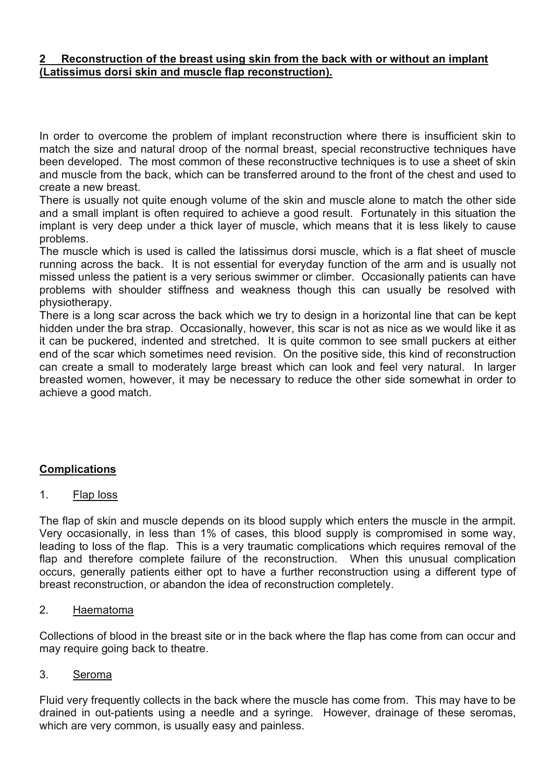# **2 Reconstruction of the breast using skin from the back with or without an implant (Latissimus dorsi skin and muscle flap reconstruction).**

In order to overcome the problem of implant reconstruction where there is insufficient skin to match the size and natural droop of the normal breast, special reconstructive techniques have been developed. The most common of these reconstructive techniques is to use a sheet of skin and muscle from the back, which can be transferred around to the front of the chest and used to create a new breast.

There is usually not quite enough volume of the skin and muscle alone to match the other side and a small implant is often required to achieve a good result. Fortunately in this situation the implant is very deep under a thick layer of muscle, which means that it is less likely to cause problems.

The muscle which is used is called the latissimus dorsi muscle, which is a flat sheet of muscle running across the back. It is not essential for everyday function of the arm and is usually not missed unless the patient is a very serious swimmer or climber. Occasionally patients can have problems with shoulder stiffness and weakness though this can usually be resolved with physiotherapy.

There is a long scar across the back which we try to design in a horizontal line that can be kept hidden under the bra strap. Occasionally, however, this scar is not as nice as we would like it as it can be puckered, indented and stretched. It is quite common to see small puckers at either end of the scar which sometimes need revision. On the positive side, this kind of reconstruction can create a small to moderately large breast which can look and feel very natural. In larger breasted women, however, it may be necessary to reduce the other side somewhat in order to achieve a good match.

# **Complications**

# 1. Flap loss

The flap of skin and muscle depends on its blood supply which enters the muscle in the armpit. Very occasionally, in less than 1% of cases, this blood supply is compromised in some way, leading to loss of the flap. This is a very traumatic complications which requires removal of the flap and therefore complete failure of the reconstruction. When this unusual complication occurs, generally patients either opt to have a further reconstruction using a different type of breast reconstruction, or abandon the idea of reconstruction completely.

# 2. Haematoma

Collections of blood in the breast site or in the back where the flap has come from can occur and may require going back to theatre.

# 3. Seroma

Fluid very frequently collects in the back where the muscle has come from. This may have to be drained in out-patients using a needle and a syringe. However, drainage of these seromas, which are very common, is usually easy and painless.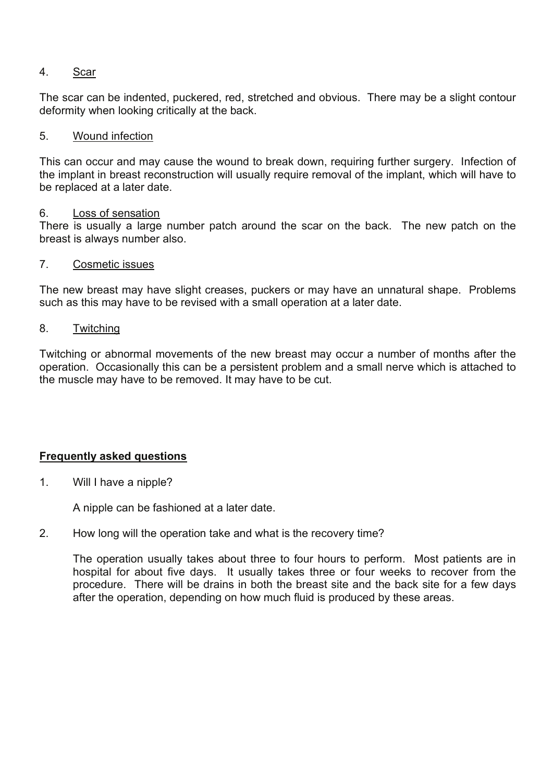# 4. Scar

The scar can be indented, puckered, red, stretched and obvious. There may be a slight contour deformity when looking critically at the back.

### 5. Wound infection

This can occur and may cause the wound to break down, requiring further surgery. Infection of the implant in breast reconstruction will usually require removal of the implant, which will have to be replaced at a later date.

### 6. Loss of sensation

There is usually a large number patch around the scar on the back. The new patch on the breast is always number also.

### 7. Cosmetic issues

The new breast may have slight creases, puckers or may have an unnatural shape. Problems such as this may have to be revised with a small operation at a later date.

8. Twitching

Twitching or abnormal movements of the new breast may occur a number of months after the operation. Occasionally this can be a persistent problem and a small nerve which is attached to the muscle may have to be removed. It may have to be cut.

# **Frequently asked questions**

1. Will I have a nipple?

A nipple can be fashioned at a later date.

# 2. How long will the operation take and what is the recovery time?

The operation usually takes about three to four hours to perform. Most patients are in hospital for about five days. It usually takes three or four weeks to recover from the procedure. There will be drains in both the breast site and the back site for a few days after the operation, depending on how much fluid is produced by these areas.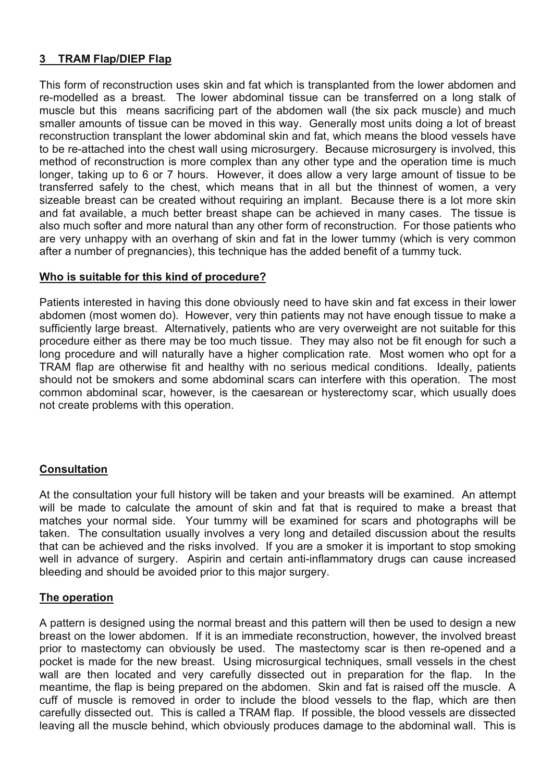# **3 TRAM Flap/DIEP Flap**

This form of reconstruction uses skin and fat which is transplanted from the lower abdomen and re-modelled as a breast. The lower abdominal tissue can be transferred on a long stalk of muscle but this means sacrificing part of the abdomen wall (the six pack muscle) and much smaller amounts of tissue can be moved in this way. Generally most units doing a lot of breast reconstruction transplant the lower abdominal skin and fat, which means the blood vessels have to be re-attached into the chest wall using microsurgery. Because microsurgery is involved, this method of reconstruction is more complex than any other type and the operation time is much longer, taking up to 6 or 7 hours. However, it does allow a very large amount of tissue to be transferred safely to the chest, which means that in all but the thinnest of women, a very sizeable breast can be created without requiring an implant. Because there is a lot more skin and fat available, a much better breast shape can be achieved in many cases. The tissue is also much softer and more natural than any other form of reconstruction. For those patients who are very unhappy with an overhang of skin and fat in the lower tummy (which is very common after a number of pregnancies), this technique has the added benefit of a tummy tuck.

# **Who is suitable for this kind of procedure?**

Patients interested in having this done obviously need to have skin and fat excess in their lower abdomen (most women do). However, very thin patients may not have enough tissue to make a sufficiently large breast. Alternatively, patients who are very overweight are not suitable for this procedure either as there may be too much tissue. They may also not be fit enough for such a long procedure and will naturally have a higher complication rate. Most women who opt for a TRAM flap are otherwise fit and healthy with no serious medical conditions. Ideally, patients should not be smokers and some abdominal scars can interfere with this operation. The most common abdominal scar, however, is the caesarean or hysterectomy scar, which usually does not create problems with this operation.

# **Consultation**

At the consultation your full history will be taken and your breasts will be examined. An attempt will be made to calculate the amount of skin and fat that is required to make a breast that matches your normal side. Your tummy will be examined for scars and photographs will be taken. The consultation usually involves a very long and detailed discussion about the results that can be achieved and the risks involved. If you are a smoker it is important to stop smoking well in advance of surgery. Aspirin and certain anti-inflammatory drugs can cause increased bleeding and should be avoided prior to this major surgery.

# **The operation**

A pattern is designed using the normal breast and this pattern will then be used to design a new breast on the lower abdomen. If it is an immediate reconstruction, however, the involved breast prior to mastectomy can obviously be used. The mastectomy scar is then re-opened and a pocket is made for the new breast. Using microsurgical techniques, small vessels in the chest wall are then located and very carefully dissected out in preparation for the flap. In the meantime, the flap is being prepared on the abdomen. Skin and fat is raised off the muscle. A cuff of muscle is removed in order to include the blood vessels to the flap, which are then carefully dissected out. This is called a TRAM flap. If possible, the blood vessels are dissected leaving all the muscle behind, which obviously produces damage to the abdominal wall. This is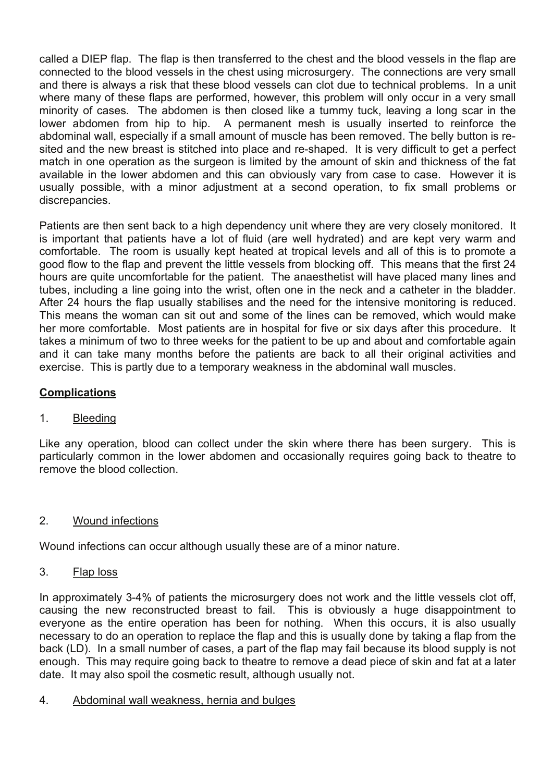called a DIEP flap. The flap is then transferred to the chest and the blood vessels in the flap are connected to the blood vessels in the chest using microsurgery. The connections are very small and there is always a risk that these blood vessels can clot due to technical problems. In a unit where many of these flaps are performed, however, this problem will only occur in a very small minority of cases. The abdomen is then closed like a tummy tuck, leaving a long scar in the lower abdomen from hip to hip. A permanent mesh is usually inserted to reinforce the abdominal wall, especially if a small amount of muscle has been removed. The belly button is resited and the new breast is stitched into place and re-shaped. It is very difficult to get a perfect match in one operation as the surgeon is limited by the amount of skin and thickness of the fat available in the lower abdomen and this can obviously vary from case to case. However it is usually possible, with a minor adjustment at a second operation, to fix small problems or discrepancies.

Patients are then sent back to a high dependency unit where they are very closely monitored. It is important that patients have a lot of fluid (are well hydrated) and are kept very warm and comfortable. The room is usually kept heated at tropical levels and all of this is to promote a good flow to the flap and prevent the little vessels from blocking off. This means that the first 24 hours are quite uncomfortable for the patient. The anaesthetist will have placed many lines and tubes, including a line going into the wrist, often one in the neck and a catheter in the bladder. After 24 hours the flap usually stabilises and the need for the intensive monitoring is reduced. This means the woman can sit out and some of the lines can be removed, which would make her more comfortable. Most patients are in hospital for five or six days after this procedure. It takes a minimum of two to three weeks for the patient to be up and about and comfortable again and it can take many months before the patients are back to all their original activities and exercise. This is partly due to a temporary weakness in the abdominal wall muscles.

# **Complications**

# 1. Bleeding

Like any operation, blood can collect under the skin where there has been surgery. This is particularly common in the lower abdomen and occasionally requires going back to theatre to remove the blood collection.

# 2. Wound infections

Wound infections can occur although usually these are of a minor nature.

### 3. Flap loss

In approximately 3-4% of patients the microsurgery does not work and the little vessels clot off, causing the new reconstructed breast to fail. This is obviously a huge disappointment to everyone as the entire operation has been for nothing. When this occurs, it is also usually necessary to do an operation to replace the flap and this is usually done by taking a flap from the back (LD). In a small number of cases, a part of the flap may fail because its blood supply is not enough. This may require going back to theatre to remove a dead piece of skin and fat at a later date. It may also spoil the cosmetic result, although usually not.

# 4. Abdominal wall weakness, hernia and bulges